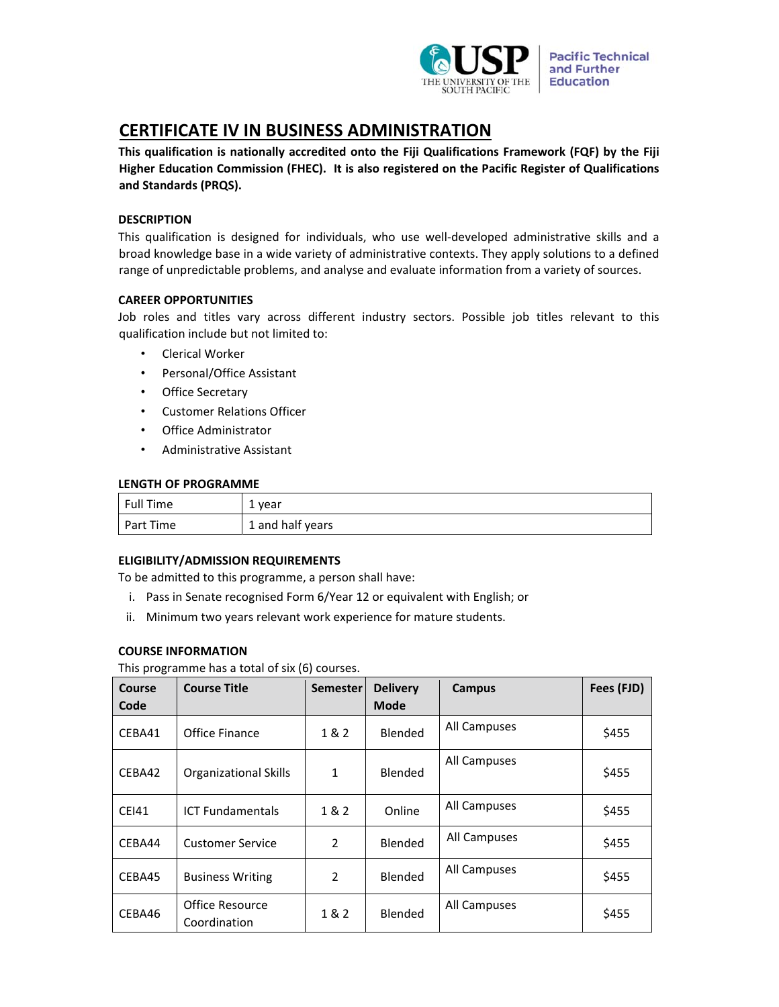

# **CERTIFICATE IV IN BUSINESS ADMINISTRATION**

**This qualification is nationally accredited onto the Fiji Qualifications Framework (FQF) by the Fiji Higher Education Commission (FHEC). It is also registered on the Pacific Register of Qualifications and Standards (PRQS).**

# **DESCRIPTION**

This qualification is designed for individuals, who use well‐developed administrative skills and a broad knowledge base in a wide variety of administrative contexts. They apply solutions to a defined range of unpredictable problems, and analyse and evaluate information from a variety of sources.

# **CAREER OPPORTUNITIES**

Job roles and titles vary across different industry sectors. Possible job titles relevant to this qualification include but not limited to:

- Clerical Worker
- Personal/Office Assistant
- Office Secretary
- Customer Relations Officer
- Office Administrator
- Administrative Assistant

# **LENGTH OF PROGRAMME**

| <b>Full Time</b> | 1 year           |
|------------------|------------------|
| Part Time        | 1 and half years |

# **ELIGIBILITY/ADMISSION REQUIREMENTS**

To be admitted to this programme, a person shall have:

- i. Pass in Senate recognised Form 6/Year 12 or equivalent with English; or
- ii. Minimum two years relevant work experience for mature students.

# **COURSE INFORMATION**

This programme has a total of six (6) courses.

| Course       | <b>Course Title</b>             | <b>Semester</b> | <b>Delivery</b> | Campus       | Fees (FJD) |
|--------------|---------------------------------|-----------------|-----------------|--------------|------------|
| Code         |                                 |                 | <b>Mode</b>     |              |            |
| CEBA41       | Office Finance                  | 1 & 2           | Blended         | All Campuses | \$455      |
| CEBA42       | <b>Organizational Skills</b>    | $\mathbf{1}$    | Blended         | All Campuses | \$455      |
| <b>CEI41</b> | <b>ICT Fundamentals</b>         | 1 & 2           | Online          | All Campuses | \$455      |
| CEBA44       | <b>Customer Service</b>         | $\mathcal{P}$   | Blended         | All Campuses | \$455      |
| CEBA45       | <b>Business Writing</b>         | $\mathcal{P}$   | Blended         | All Campuses | \$455      |
| CEBA46       | Office Resource<br>Coordination | 1 & 2           | Blended         | All Campuses | \$455      |